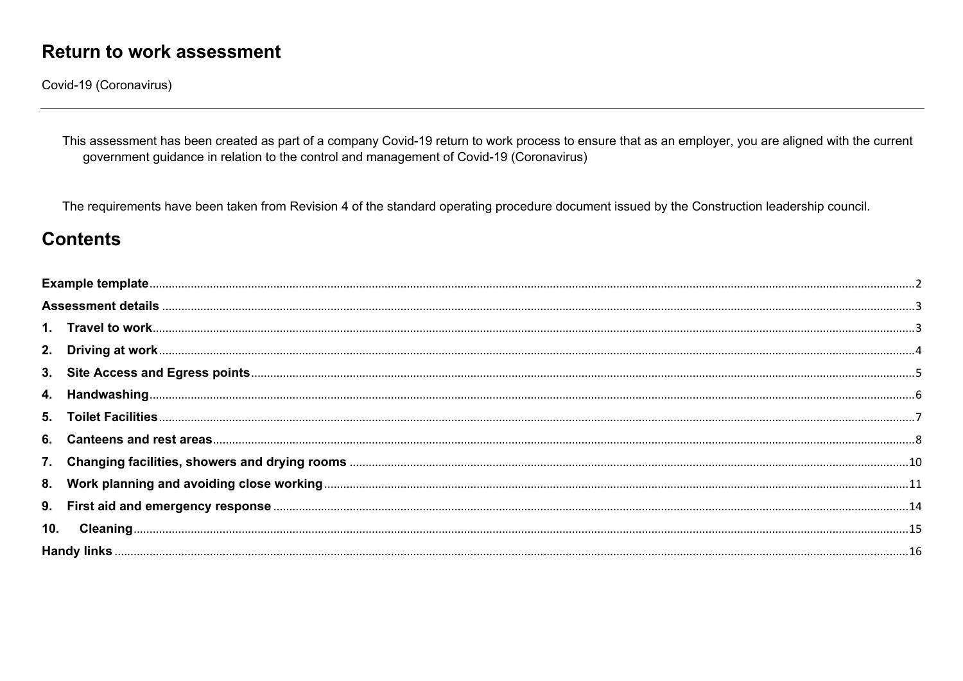Covid-19 (Coronavirus)

This assessment has been created as part of a company Covid-19 return to work process to ensure that as an employer, you are aligned with the current government guidance in relation to the control and management of Covid-19 (Coronavirus)

The requirements have been taken from Revision 4 of the standard operating procedure document issued by the Construction leadership council.

#### **Contents**

| 5.  |  |
|-----|--|
|     |  |
|     |  |
|     |  |
|     |  |
| 10. |  |
|     |  |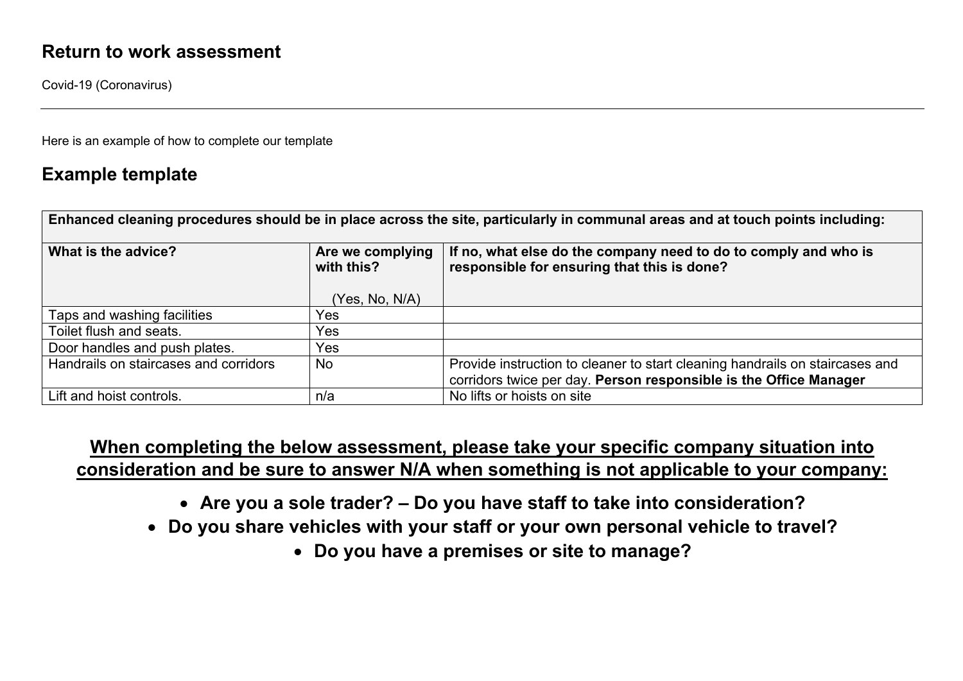Covid-19 (Coronavirus)

Here is an example of how to complete our template

#### **Example template**

| Enhanced cleaning procedures should be in place across the site, particularly in communal areas and at touch points including: |                                                   |                                                                                                                                                   |  |  |  |
|--------------------------------------------------------------------------------------------------------------------------------|---------------------------------------------------|---------------------------------------------------------------------------------------------------------------------------------------------------|--|--|--|
| What is the advice?                                                                                                            | Are we complying<br>with this?<br>(Yes, No, N/A). | If no, what else do the company need to do to comply and who is<br>responsible for ensuring that this is done?                                    |  |  |  |
| Taps and washing facilities                                                                                                    | Yes                                               |                                                                                                                                                   |  |  |  |
| Toilet flush and seats.                                                                                                        | Yes                                               |                                                                                                                                                   |  |  |  |
| Door handles and push plates.                                                                                                  | Yes                                               |                                                                                                                                                   |  |  |  |
| Handrails on staircases and corridors                                                                                          | <b>No</b>                                         | Provide instruction to cleaner to start cleaning handrails on staircases and<br>corridors twice per day. Person responsible is the Office Manager |  |  |  |
| Lift and hoist controls.                                                                                                       | n/a                                               | No lifts or hoists on site                                                                                                                        |  |  |  |

### **When completing the below assessment, please take your specific company situation into consideration and be sure to answer N/A when something is not applicable to your company:**

- **Are you a sole trader? – Do you have staff to take into consideration?**
- **Do you share vehicles with your staff or your own personal vehicle to travel?**
	- **Do you have a premises or site to manage?**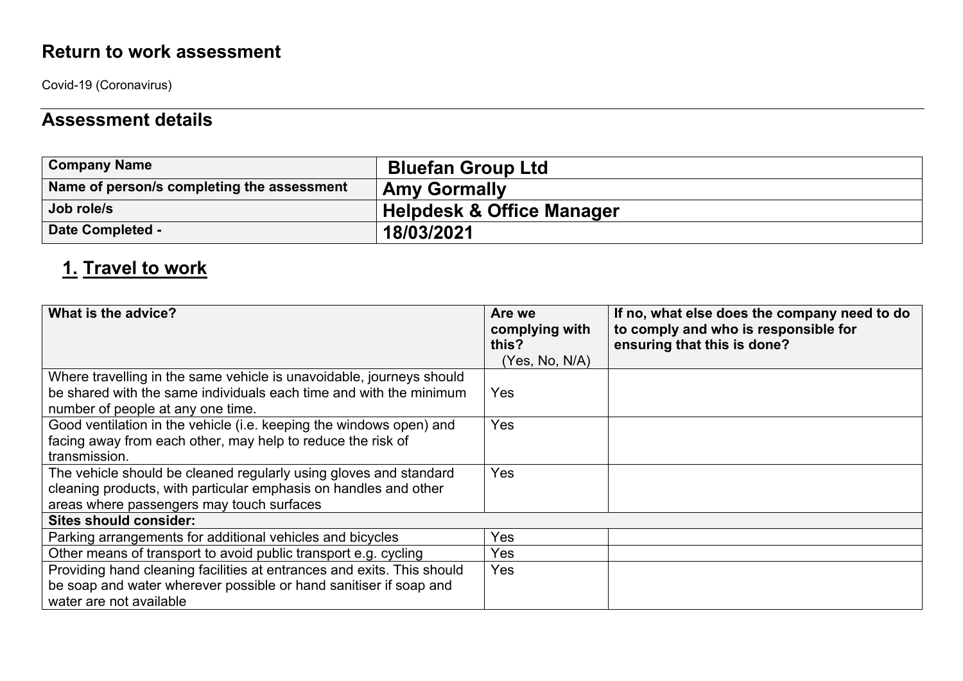Covid-19 (Coronavirus)

## **Assessment details**

| <b>Company Name</b>                        | <b>Bluefan Group Ltd</b>             |
|--------------------------------------------|--------------------------------------|
| Name of person/s completing the assessment | <b>Amy Gormally</b>                  |
| Job role/s                                 | <b>Helpdesk &amp; Office Manager</b> |
| <b>Date Completed -</b>                    | 18/03/2021                           |

## **1. Travel to work**

| What is the advice?                                                                                                                                                                | Are we<br>complying with<br>this?<br>(Yes, No, N/A) | If no, what else does the company need to do<br>to comply and who is responsible for<br>ensuring that this is done? |
|------------------------------------------------------------------------------------------------------------------------------------------------------------------------------------|-----------------------------------------------------|---------------------------------------------------------------------------------------------------------------------|
| Where travelling in the same vehicle is unavoidable, journeys should<br>be shared with the same individuals each time and with the minimum<br>number of people at any one time.    | Yes                                                 |                                                                                                                     |
| Good ventilation in the vehicle (i.e. keeping the windows open) and<br>facing away from each other, may help to reduce the risk of<br>transmission.                                | Yes                                                 |                                                                                                                     |
| The vehicle should be cleaned regularly using gloves and standard<br>cleaning products, with particular emphasis on handles and other<br>areas where passengers may touch surfaces | Yes                                                 |                                                                                                                     |
| <b>Sites should consider:</b>                                                                                                                                                      |                                                     |                                                                                                                     |
| Parking arrangements for additional vehicles and bicycles                                                                                                                          | Yes                                                 |                                                                                                                     |
| Other means of transport to avoid public transport e.g. cycling                                                                                                                    | Yes                                                 |                                                                                                                     |
| Providing hand cleaning facilities at entrances and exits. This should<br>be soap and water wherever possible or hand sanitiser if soap and<br>water are not available             | Yes                                                 |                                                                                                                     |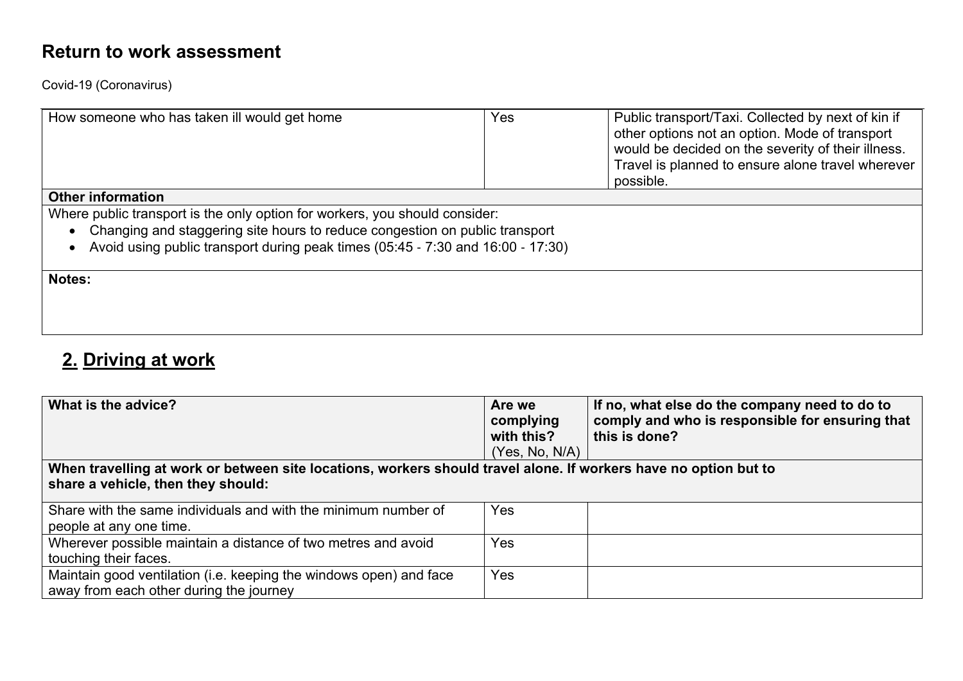Covid-19 (Coronavirus)

| How someone who has taken ill would get home                                    | Yes | Public transport/Taxi. Collected by next of kin if<br>other options not an option. Mode of transport<br>would be decided on the severity of their illness.<br>Travel is planned to ensure alone travel wherever<br>possible. |  |  |  |
|---------------------------------------------------------------------------------|-----|------------------------------------------------------------------------------------------------------------------------------------------------------------------------------------------------------------------------------|--|--|--|
| <b>Other information</b>                                                        |     |                                                                                                                                                                                                                              |  |  |  |
| Where public transport is the only option for workers, you should consider:     |     |                                                                                                                                                                                                                              |  |  |  |
| Changing and staggering site hours to reduce congestion on public transport     |     |                                                                                                                                                                                                                              |  |  |  |
| Avoid using public transport during peak times (05:45 - 7:30 and 16:00 - 17:30) |     |                                                                                                                                                                                                                              |  |  |  |
|                                                                                 |     |                                                                                                                                                                                                                              |  |  |  |
| <b>Notes:</b>                                                                   |     |                                                                                                                                                                                                                              |  |  |  |
|                                                                                 |     |                                                                                                                                                                                                                              |  |  |  |
|                                                                                 |     |                                                                                                                                                                                                                              |  |  |  |
|                                                                                 |     |                                                                                                                                                                                                                              |  |  |  |

## **2. Driving at work**

| What is the advice?                                                                                                                                    | Are we<br>complying<br>with this?<br>(Yes, No, N/A) | If no, what else do the company need to do to<br>comply and who is responsible for ensuring that<br>this is done? |
|--------------------------------------------------------------------------------------------------------------------------------------------------------|-----------------------------------------------------|-------------------------------------------------------------------------------------------------------------------|
| When travelling at work or between site locations, workers should travel alone. If workers have no option but to<br>share a vehicle, then they should: |                                                     |                                                                                                                   |
| Share with the same individuals and with the minimum number of<br>people at any one time.                                                              | Yes                                                 |                                                                                                                   |
| Wherever possible maintain a distance of two metres and avoid<br>touching their faces.                                                                 | Yes                                                 |                                                                                                                   |
| Maintain good ventilation (i.e. keeping the windows open) and face<br>away from each other during the journey                                          | Yes                                                 |                                                                                                                   |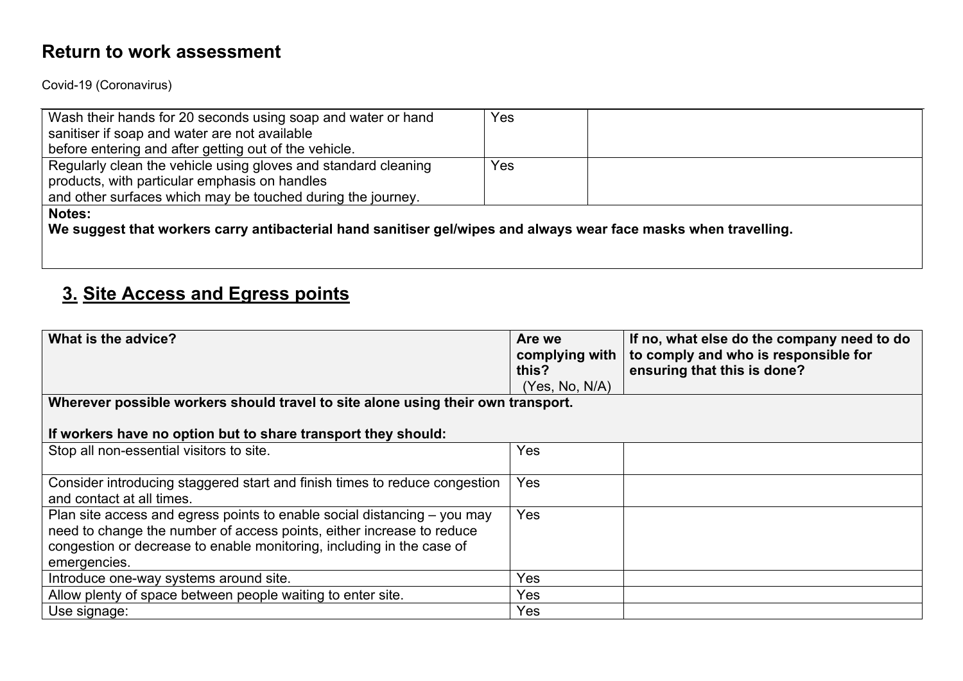Covid-19 (Coronavirus)

| Wash their hands for 20 seconds using soap and water or hand   | Yes |  |
|----------------------------------------------------------------|-----|--|
| sanitiser if soap and water are not available                  |     |  |
| before entering and after getting out of the vehicle.          |     |  |
| Regularly clean the vehicle using gloves and standard cleaning | Yes |  |
| products, with particular emphasis on handles                  |     |  |
| and other surfaces which may be touched during the journey.    |     |  |
| <b>Notes:</b>                                                  |     |  |
| .                                                              |     |  |

**We suggest that workers carry antibacterial hand sanitiser gel/wipes and always wear face masks when travelling.** 

## **3. Site Access and Egress points**

| What is the advice?                                                                                     | Are we<br>complying with<br>this? | If no, what else do the company need to do<br>to comply and who is responsible for<br>ensuring that this is done? |
|---------------------------------------------------------------------------------------------------------|-----------------------------------|-------------------------------------------------------------------------------------------------------------------|
|                                                                                                         | (Yes, No, N/A)                    |                                                                                                                   |
| Wherever possible workers should travel to site alone using their own transport.                        |                                   |                                                                                                                   |
|                                                                                                         |                                   |                                                                                                                   |
| If workers have no option but to share transport they should:                                           |                                   |                                                                                                                   |
| Stop all non-essential visitors to site.                                                                | Yes                               |                                                                                                                   |
|                                                                                                         |                                   |                                                                                                                   |
| Consider introducing staggered start and finish times to reduce congestion<br>and contact at all times. | Yes                               |                                                                                                                   |
| Plan site access and egress points to enable social distancing $-$ you may                              | Yes                               |                                                                                                                   |
| need to change the number of access points, either increase to reduce                                   |                                   |                                                                                                                   |
| congestion or decrease to enable monitoring, including in the case of                                   |                                   |                                                                                                                   |
| emergencies.                                                                                            |                                   |                                                                                                                   |
| Introduce one-way systems around site.                                                                  | Yes                               |                                                                                                                   |
| Allow plenty of space between people waiting to enter site.                                             | Yes                               |                                                                                                                   |
| Use signage:                                                                                            | Yes                               |                                                                                                                   |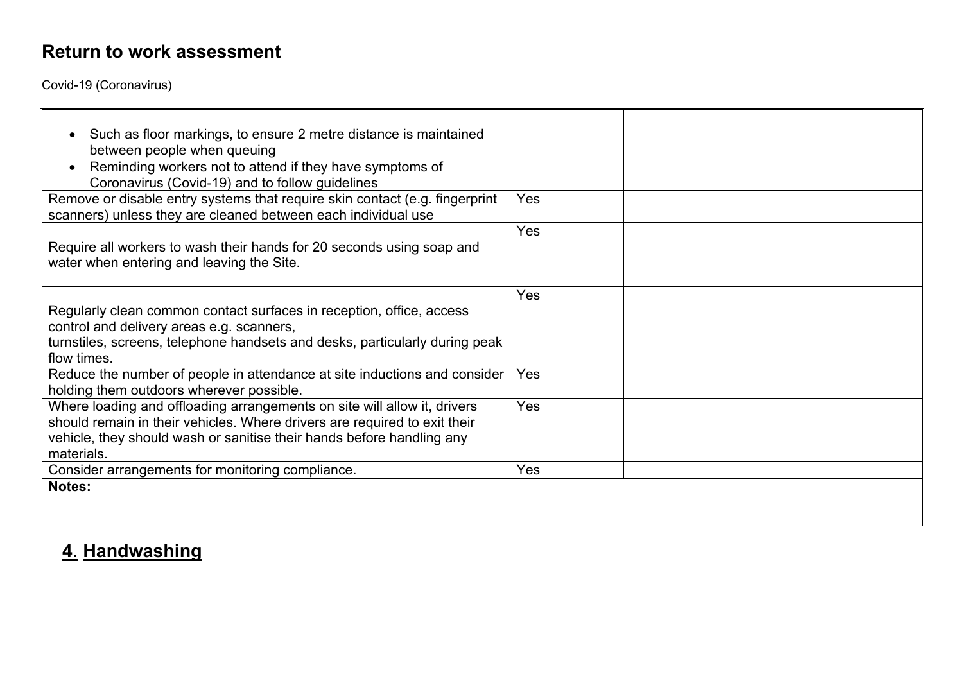Covid-19 (Coronavirus)

| Such as floor markings, to ensure 2 metre distance is maintained<br>between people when queuing<br>Reminding workers not to attend if they have symptoms of<br>Coronavirus (Covid-19) and to follow guidelines                               |            |
|----------------------------------------------------------------------------------------------------------------------------------------------------------------------------------------------------------------------------------------------|------------|
| Remove or disable entry systems that require skin contact (e.g. fingerprint<br>scanners) unless they are cleaned between each individual use                                                                                                 | <b>Yes</b> |
| Require all workers to wash their hands for 20 seconds using soap and<br>water when entering and leaving the Site.                                                                                                                           | Yes        |
| Regularly clean common contact surfaces in reception, office, access<br>control and delivery areas e.g. scanners,<br>turnstiles, screens, telephone handsets and desks, particularly during peak<br>flow times.                              | Yes        |
| Reduce the number of people in attendance at site inductions and consider<br>holding them outdoors wherever possible.                                                                                                                        | Yes        |
| Where loading and offloading arrangements on site will allow it, drivers<br>should remain in their vehicles. Where drivers are required to exit their<br>vehicle, they should wash or sanitise their hands before handling any<br>materials. | Yes        |
| Consider arrangements for monitoring compliance.                                                                                                                                                                                             | Yes        |
| <b>Notes:</b>                                                                                                                                                                                                                                |            |

# **4. Handwashing**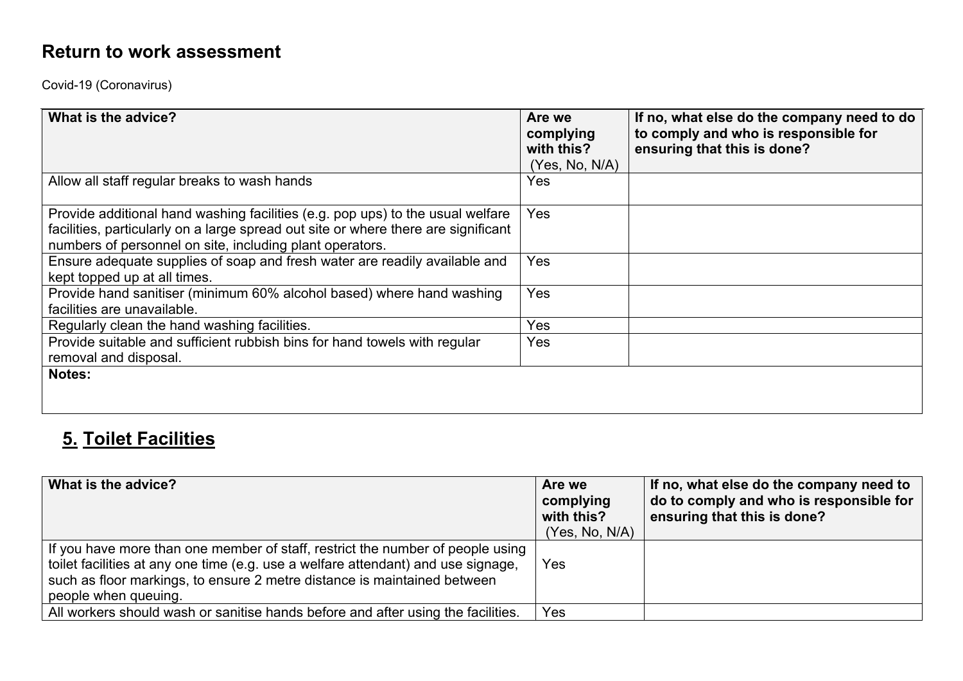Covid-19 (Coronavirus)

| What is the advice?                                                                                                                                                                                                              | Are we<br>complying<br>with this?<br>(Yes, No, N/A) | If no, what else do the company need to do<br>to comply and who is responsible for<br>ensuring that this is done? |
|----------------------------------------------------------------------------------------------------------------------------------------------------------------------------------------------------------------------------------|-----------------------------------------------------|-------------------------------------------------------------------------------------------------------------------|
| Allow all staff regular breaks to wash hands                                                                                                                                                                                     | Yes                                                 |                                                                                                                   |
| Provide additional hand washing facilities (e.g. pop ups) to the usual welfare<br>facilities, particularly on a large spread out site or where there are significant<br>numbers of personnel on site, including plant operators. | Yes                                                 |                                                                                                                   |
| Ensure adequate supplies of soap and fresh water are readily available and<br>kept topped up at all times.                                                                                                                       | Yes                                                 |                                                                                                                   |
| Provide hand sanitiser (minimum 60% alcohol based) where hand washing<br>facilities are unavailable.                                                                                                                             | Yes                                                 |                                                                                                                   |
| Regularly clean the hand washing facilities.                                                                                                                                                                                     | Yes                                                 |                                                                                                                   |
| Provide suitable and sufficient rubbish bins for hand towels with regular<br>removal and disposal.                                                                                                                               | Yes                                                 |                                                                                                                   |
| <b>Notes:</b>                                                                                                                                                                                                                    |                                                     |                                                                                                                   |

## **5. Toilet Facilities**

| What is the advice?                                                                                                                                                                                                                                                     | Are we<br>complying<br>with this?<br>(Yes, No, N/A) | If no, what else do the company need to<br>do to comply and who is responsible for<br>ensuring that this is done? |
|-------------------------------------------------------------------------------------------------------------------------------------------------------------------------------------------------------------------------------------------------------------------------|-----------------------------------------------------|-------------------------------------------------------------------------------------------------------------------|
| If you have more than one member of staff, restrict the number of people using<br>toilet facilities at any one time (e.g. use a welfare attendant) and use signage,<br>such as floor markings, to ensure 2 metre distance is maintained between<br>people when queuing. | Yes                                                 |                                                                                                                   |
| All workers should wash or sanitise hands before and after using the facilities.                                                                                                                                                                                        | Yes                                                 |                                                                                                                   |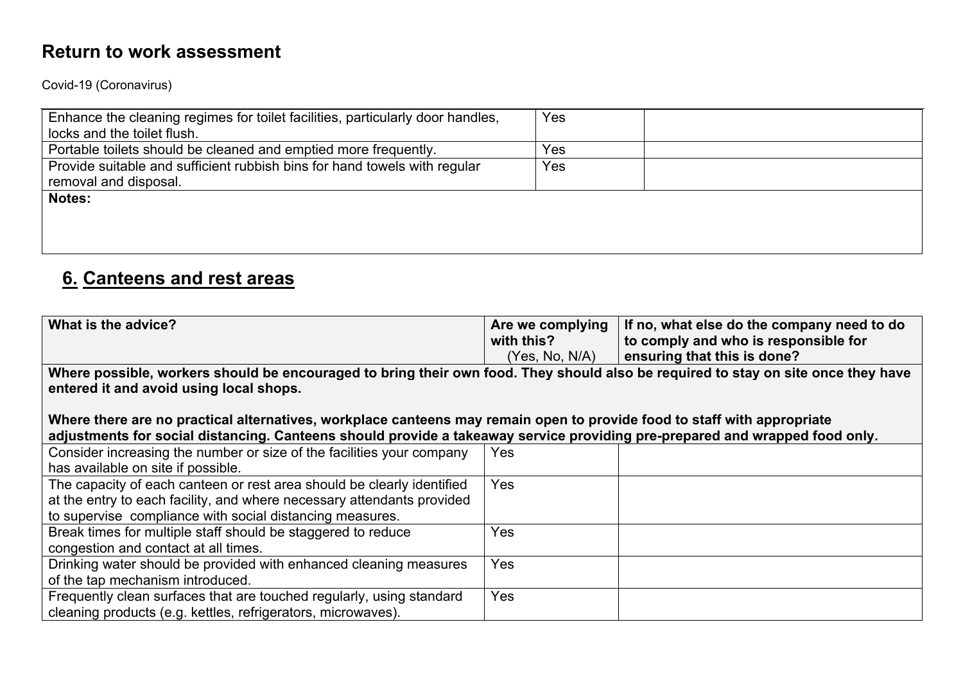Covid-19 (Coronavirus)

| Enhance the cleaning regimes for toilet facilities, particularly door handles,<br>locks and the toilet flush. | Yes |  |
|---------------------------------------------------------------------------------------------------------------|-----|--|
| Portable toilets should be cleaned and emptied more frequently.                                               | Yes |  |
| Provide suitable and sufficient rubbish bins for hand towels with regular<br>removal and disposal.            | Yes |  |
| <b>Notes:</b>                                                                                                 |     |  |
|                                                                                                               |     |  |
|                                                                                                               |     |  |

## **6. Canteens and rest areas**

| What is the advice?                                                                                                               | Are we complying | If no, what else do the company need to do |
|-----------------------------------------------------------------------------------------------------------------------------------|------------------|--------------------------------------------|
|                                                                                                                                   | with this?       | to comply and who is responsible for       |
|                                                                                                                                   | (Yes, No, N/A)   | ensuring that this is done?                |
| Where possible, workers should be encouraged to bring their own food. They should also be required to stay on site once they have |                  |                                            |
| entered it and avoid using local shops.                                                                                           |                  |                                            |
|                                                                                                                                   |                  |                                            |
| Where there are no practical alternatives, workplace canteens may remain open to provide food to staff with appropriate           |                  |                                            |
| adjustments for social distancing. Canteens should provide a takeaway service providing pre-prepared and wrapped food only.       |                  |                                            |
| Consider increasing the number or size of the facilities your company                                                             | Yes              |                                            |
| has available on site if possible.                                                                                                |                  |                                            |
| The capacity of each canteen or rest area should be clearly identified                                                            | Yes              |                                            |
| at the entry to each facility, and where necessary attendants provided                                                            |                  |                                            |
| to supervise compliance with social distancing measures.                                                                          |                  |                                            |
| Break times for multiple staff should be staggered to reduce                                                                      | Yes              |                                            |
| congestion and contact at all times.                                                                                              |                  |                                            |
| Drinking water should be provided with enhanced cleaning measures                                                                 | Yes              |                                            |
| of the tap mechanism introduced.                                                                                                  |                  |                                            |
| Frequently clean surfaces that are touched regularly, using standard                                                              | Yes              |                                            |
| cleaning products (e.g. kettles, refrigerators, microwaves).                                                                      |                  |                                            |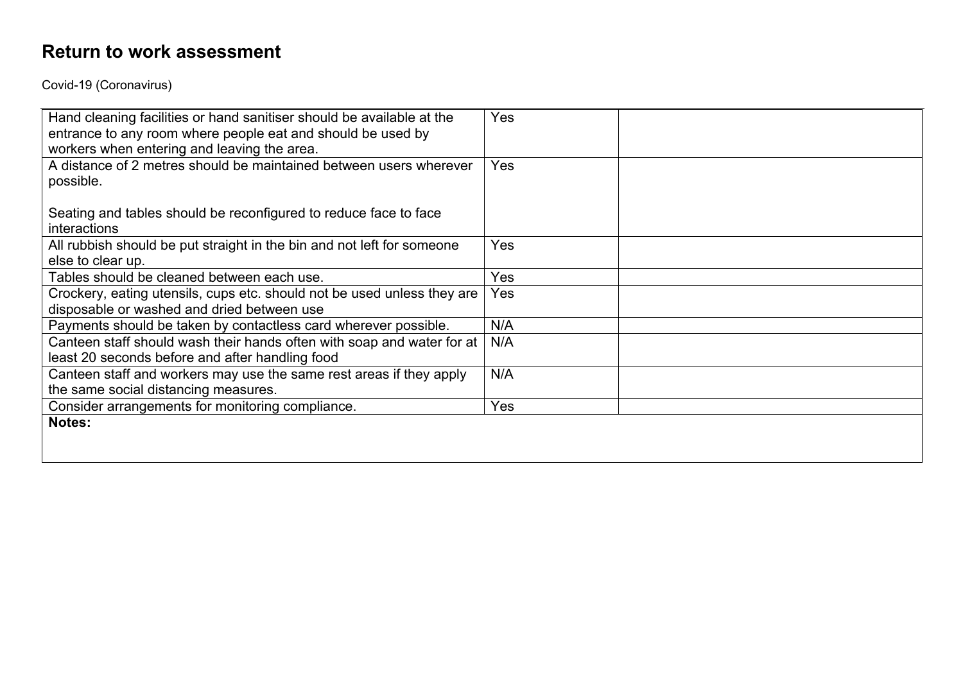Covid-19 (Coronavirus)

| Hand cleaning facilities or hand sanitiser should be available at the<br>entrance to any room where people eat and should be used by<br>workers when entering and leaving the area. | Yes        |
|-------------------------------------------------------------------------------------------------------------------------------------------------------------------------------------|------------|
| A distance of 2 metres should be maintained between users wherever<br>possible.                                                                                                     | <b>Yes</b> |
| Seating and tables should be reconfigured to reduce face to face<br>interactions                                                                                                    |            |
| All rubbish should be put straight in the bin and not left for someone<br>else to clear up.                                                                                         | Yes        |
| Tables should be cleaned between each use.                                                                                                                                          | Yes        |
| Crockery, eating utensils, cups etc. should not be used unless they are<br>disposable or washed and dried between use                                                               | Yes        |
| Payments should be taken by contactless card wherever possible.                                                                                                                     | N/A        |
| Canteen staff should wash their hands often with soap and water for at<br>least 20 seconds before and after handling food                                                           | N/A        |
| Canteen staff and workers may use the same rest areas if they apply<br>the same social distancing measures.                                                                         | N/A        |
| Consider arrangements for monitoring compliance.                                                                                                                                    | Yes        |
| <b>Notes:</b>                                                                                                                                                                       |            |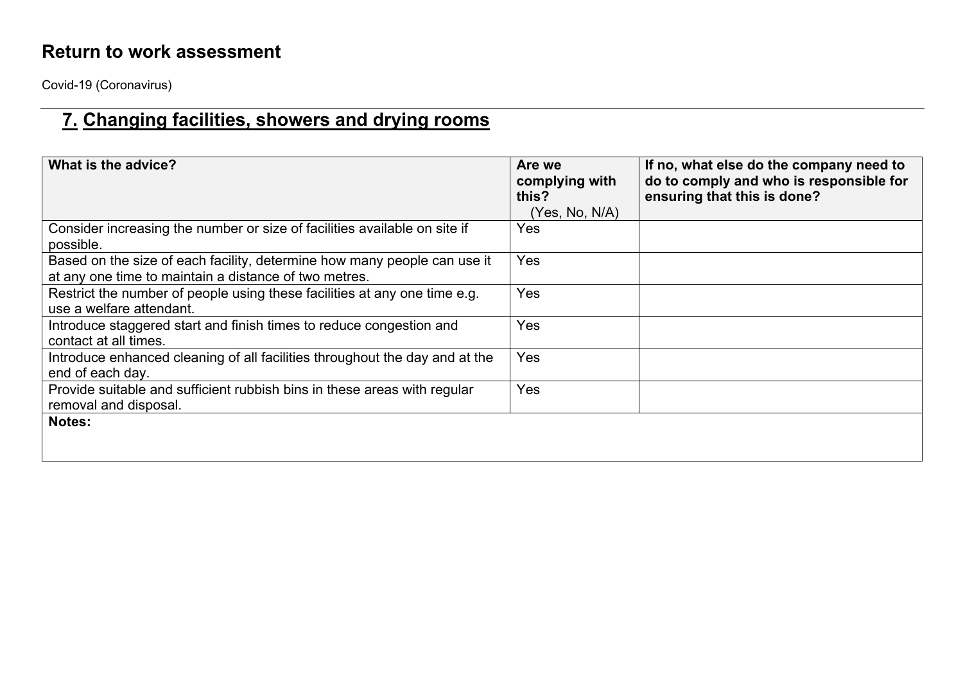Covid-19 (Coronavirus)

# **7. Changing facilities, showers and drying rooms**

| What is the advice?                                                                                                               | Are we<br>complying with<br>this?<br>(Yes, No, N/A) | If no, what else do the company need to<br>do to comply and who is responsible for<br>ensuring that this is done? |
|-----------------------------------------------------------------------------------------------------------------------------------|-----------------------------------------------------|-------------------------------------------------------------------------------------------------------------------|
| Consider increasing the number or size of facilities available on site if<br>possible.                                            | <b>Yes</b>                                          |                                                                                                                   |
| Based on the size of each facility, determine how many people can use it<br>at any one time to maintain a distance of two metres. | <b>Yes</b>                                          |                                                                                                                   |
| Restrict the number of people using these facilities at any one time e.g.<br>use a welfare attendant.                             | <b>Yes</b>                                          |                                                                                                                   |
| Introduce staggered start and finish times to reduce congestion and<br>contact at all times.                                      | Yes                                                 |                                                                                                                   |
| Introduce enhanced cleaning of all facilities throughout the day and at the<br>end of each day.                                   | Yes                                                 |                                                                                                                   |
| Provide suitable and sufficient rubbish bins in these areas with regular<br>removal and disposal.                                 | Yes                                                 |                                                                                                                   |
| <b>Notes:</b>                                                                                                                     |                                                     |                                                                                                                   |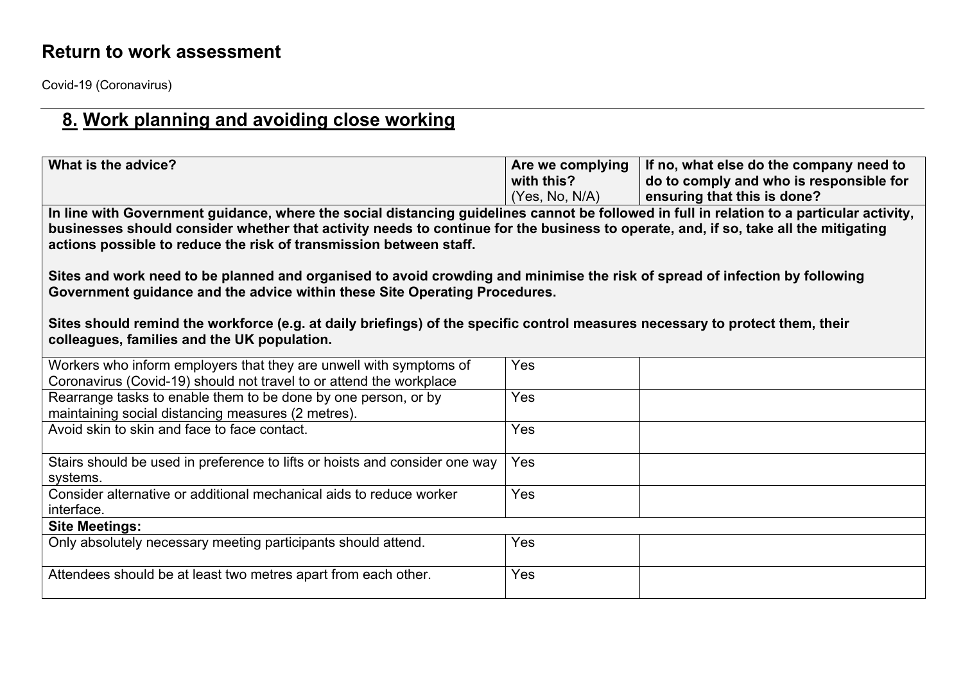Covid-19 (Coronavirus)

## **8. Work planning and avoiding close working**

| What is the advice?                                                                                                                                                                                                                                                                                                                                                                       | Are we complying<br>with this?<br>(Yes, No, N/A) | If no, what else do the company need to<br>do to comply and who is responsible for<br>ensuring that this is done? |  |
|-------------------------------------------------------------------------------------------------------------------------------------------------------------------------------------------------------------------------------------------------------------------------------------------------------------------------------------------------------------------------------------------|--------------------------------------------------|-------------------------------------------------------------------------------------------------------------------|--|
| In line with Government guidance, where the social distancing guidelines cannot be followed in full in relation to a particular activity,<br>businesses should consider whether that activity needs to continue for the business to operate, and, if so, take all the mitigating<br>actions possible to reduce the risk of transmission between staff.                                    |                                                  |                                                                                                                   |  |
| Sites and work need to be planned and organised to avoid crowding and minimise the risk of spread of infection by following<br>Government guidance and the advice within these Site Operating Procedures.<br>Sites should remind the workforce (e.g. at daily briefings) of the specific control measures necessary to protect them, their<br>colleagues, families and the UK population. |                                                  |                                                                                                                   |  |
| Workers who inform employers that they are unwell with symptoms of<br>Coronavirus (Covid-19) should not travel to or attend the workplace                                                                                                                                                                                                                                                 | Yes                                              |                                                                                                                   |  |
| Rearrange tasks to enable them to be done by one person, or by<br>maintaining social distancing measures (2 metres).                                                                                                                                                                                                                                                                      | Yes                                              |                                                                                                                   |  |
| Avoid skin to skin and face to face contact.                                                                                                                                                                                                                                                                                                                                              | Yes                                              |                                                                                                                   |  |
| Stairs should be used in preference to lifts or hoists and consider one way<br>systems.                                                                                                                                                                                                                                                                                                   | Yes                                              |                                                                                                                   |  |
| Consider alternative or additional mechanical aids to reduce worker<br>interface.                                                                                                                                                                                                                                                                                                         | Yes                                              |                                                                                                                   |  |
| <b>Site Meetings:</b>                                                                                                                                                                                                                                                                                                                                                                     |                                                  |                                                                                                                   |  |
| Only absolutely necessary meeting participants should attend.                                                                                                                                                                                                                                                                                                                             | Yes                                              |                                                                                                                   |  |
| Attendees should be at least two metres apart from each other.                                                                                                                                                                                                                                                                                                                            | Yes                                              |                                                                                                                   |  |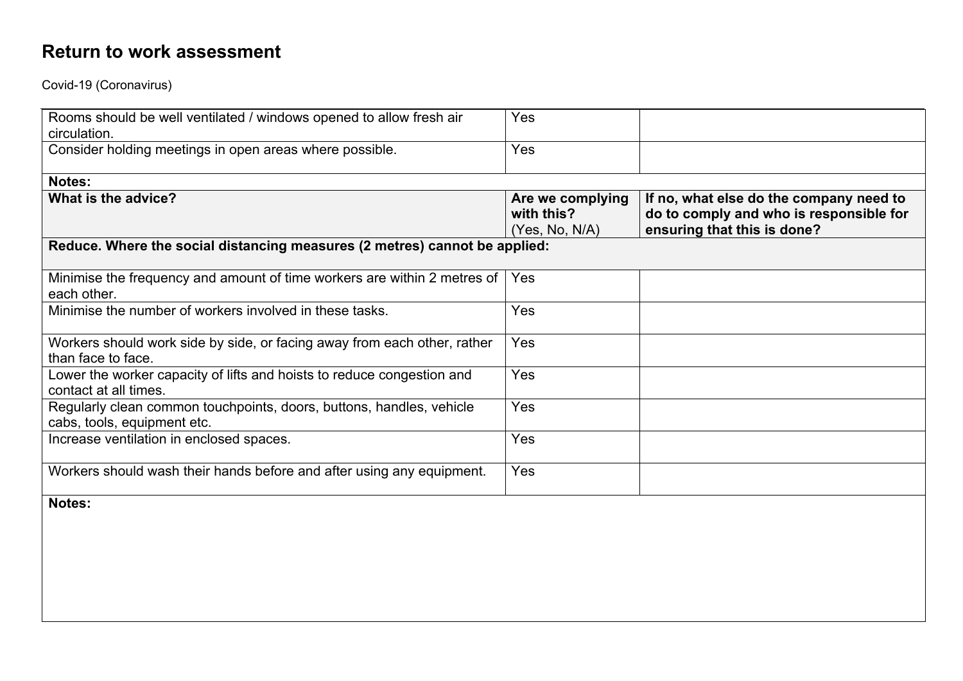Covid-19 (Coronavirus)

| Rooms should be well ventilated / windows opened to allow fresh air<br>circulation.                 | Yes                                              |                                                                                                                   |
|-----------------------------------------------------------------------------------------------------|--------------------------------------------------|-------------------------------------------------------------------------------------------------------------------|
| Consider holding meetings in open areas where possible.                                             | Yes                                              |                                                                                                                   |
| Notes:                                                                                              |                                                  |                                                                                                                   |
| What is the advice?                                                                                 | Are we complying<br>with this?<br>(Yes, No, N/A) | If no, what else do the company need to<br>do to comply and who is responsible for<br>ensuring that this is done? |
| Reduce. Where the social distancing measures (2 metres) cannot be applied:                          |                                                  |                                                                                                                   |
| Minimise the frequency and amount of time workers are within 2 metres of<br>each other.             | Yes                                              |                                                                                                                   |
| Minimise the number of workers involved in these tasks.                                             | Yes                                              |                                                                                                                   |
| Workers should work side by side, or facing away from each other, rather<br>than face to face.      | Yes                                              |                                                                                                                   |
| Lower the worker capacity of lifts and hoists to reduce congestion and<br>contact at all times.     | Yes                                              |                                                                                                                   |
| Regularly clean common touchpoints, doors, buttons, handles, vehicle<br>cabs, tools, equipment etc. | Yes                                              |                                                                                                                   |
| Increase ventilation in enclosed spaces.                                                            | Yes                                              |                                                                                                                   |
| Workers should wash their hands before and after using any equipment.                               | Yes                                              |                                                                                                                   |
| Notes:                                                                                              |                                                  |                                                                                                                   |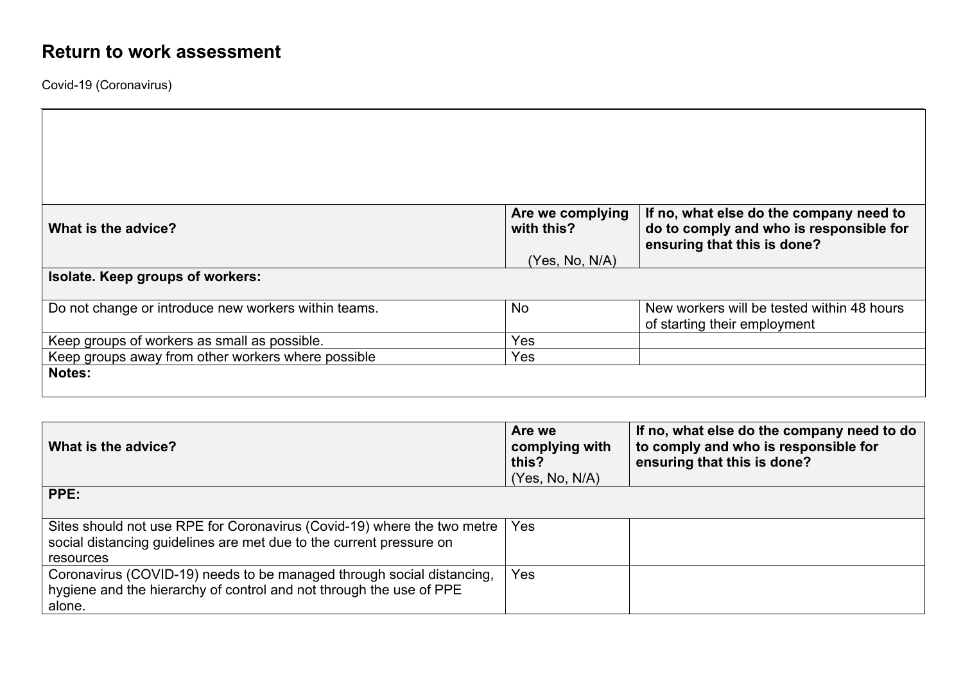Coronavirus (COVID-19) needs to be managed through social distancing,

hygiene and the hierarchy of control and not through the use of PPE

Covid-19 (Coronavirus)

alone.

| What is the advice?                                                                                                                                         | Are we complying<br>with this?                      | If no, what else do the company need to<br>do to comply and who is responsible for<br>ensuring that this is done? |  |
|-------------------------------------------------------------------------------------------------------------------------------------------------------------|-----------------------------------------------------|-------------------------------------------------------------------------------------------------------------------|--|
|                                                                                                                                                             | (Yes, No, N/A)                                      |                                                                                                                   |  |
| Isolate. Keep groups of workers:                                                                                                                            |                                                     |                                                                                                                   |  |
| Do not change or introduce new workers within teams.                                                                                                        | <b>No</b>                                           | New workers will be tested within 48 hours<br>of starting their employment                                        |  |
| Keep groups of workers as small as possible.                                                                                                                | Yes                                                 |                                                                                                                   |  |
| Keep groups away from other workers where possible                                                                                                          | Yes                                                 |                                                                                                                   |  |
| Notes:                                                                                                                                                      |                                                     |                                                                                                                   |  |
|                                                                                                                                                             |                                                     |                                                                                                                   |  |
|                                                                                                                                                             |                                                     |                                                                                                                   |  |
| What is the advice?                                                                                                                                         | Are we<br>complying with<br>this?<br>(Yes, No, N/A) | If no, what else do the company need to do<br>to comply and who is responsible for<br>ensuring that this is done? |  |
| PPE:                                                                                                                                                        |                                                     |                                                                                                                   |  |
| Sites should not use RPE for Coronavirus (Covid-19) where the two metre<br>social distancing guidelines are met due to the current pressure on<br>resources | Yes                                                 |                                                                                                                   |  |

Yes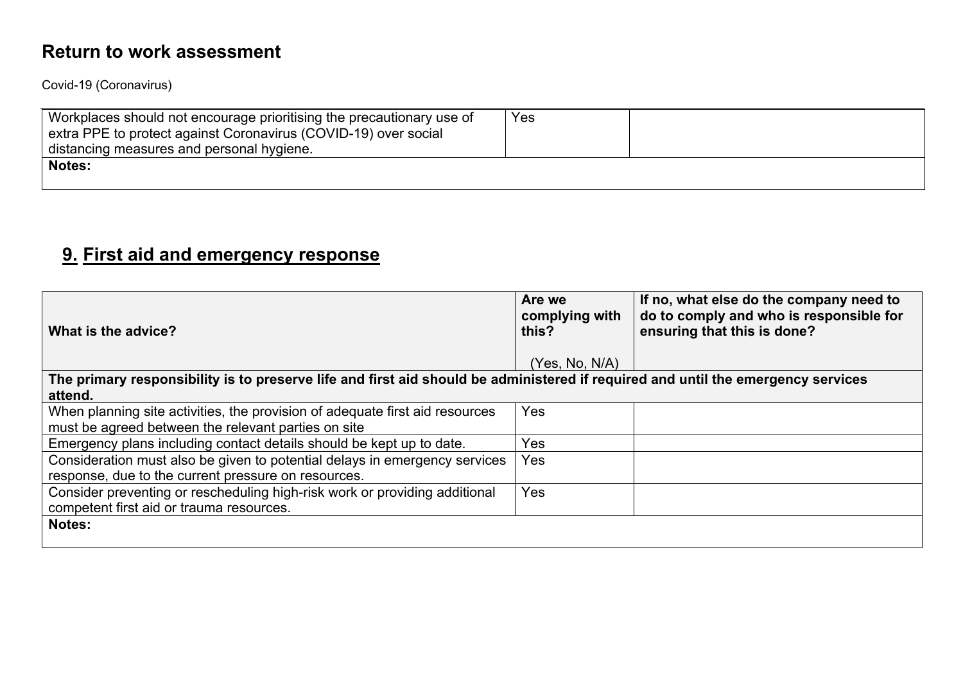Covid-19 (Coronavirus)

| Workplaces should not encourage prioritising the precautionary use of<br>extra PPE to protect against Coronavirus (COVID-19) over social<br>distancing measures and personal hygiene. | Yes |  |
|---------------------------------------------------------------------------------------------------------------------------------------------------------------------------------------|-----|--|
| <b>Notes:</b>                                                                                                                                                                         |     |  |

## **9. First aid and emergency response**

| What is the advice?                                                                                                              | Are we<br>complying with<br>this? | If no, what else do the company need to<br>do to comply and who is responsible for<br>ensuring that this is done? |
|----------------------------------------------------------------------------------------------------------------------------------|-----------------------------------|-------------------------------------------------------------------------------------------------------------------|
|                                                                                                                                  | (Yes, No, N/A)                    |                                                                                                                   |
| The primary responsibility is to preserve life and first aid should be administered if required and until the emergency services |                                   |                                                                                                                   |
| attend.                                                                                                                          |                                   |                                                                                                                   |
| When planning site activities, the provision of adequate first aid resources                                                     | Yes                               |                                                                                                                   |
| must be agreed between the relevant parties on site                                                                              |                                   |                                                                                                                   |
| Emergency plans including contact details should be kept up to date.                                                             | Yes                               |                                                                                                                   |
| Consideration must also be given to potential delays in emergency services                                                       | Yes                               |                                                                                                                   |
| response, due to the current pressure on resources.                                                                              |                                   |                                                                                                                   |
| Consider preventing or rescheduling high-risk work or providing additional                                                       | Yes                               |                                                                                                                   |
| competent first aid or trauma resources.                                                                                         |                                   |                                                                                                                   |
| <b>Notes:</b>                                                                                                                    |                                   |                                                                                                                   |
|                                                                                                                                  |                                   |                                                                                                                   |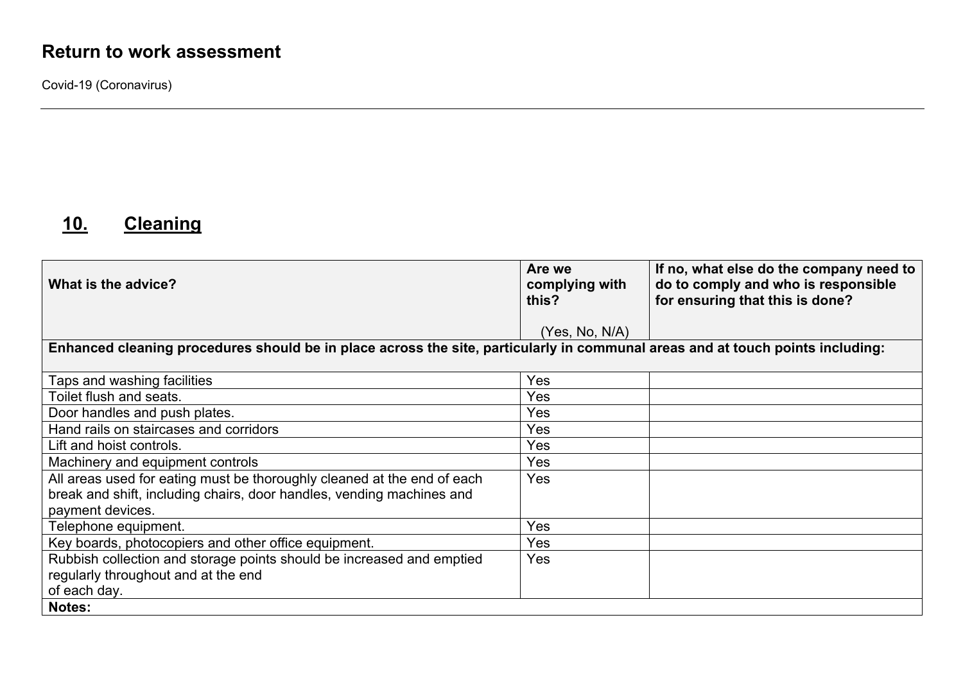Covid-19 (Coronavirus)

# **10. Cleaning**

| What is the advice?                                                                                                                                                  | Are we<br>complying with<br>this? | If no, what else do the company need to<br>do to comply and who is responsible<br>for ensuring that this is done? |
|----------------------------------------------------------------------------------------------------------------------------------------------------------------------|-----------------------------------|-------------------------------------------------------------------------------------------------------------------|
|                                                                                                                                                                      | (Yes, No, N/A)                    |                                                                                                                   |
| Enhanced cleaning procedures should be in place across the site, particularly in communal areas and at touch points including:                                       |                                   |                                                                                                                   |
| Taps and washing facilities                                                                                                                                          | Yes                               |                                                                                                                   |
| Toilet flush and seats.                                                                                                                                              | Yes                               |                                                                                                                   |
| Door handles and push plates.                                                                                                                                        | Yes                               |                                                                                                                   |
| Hand rails on staircases and corridors                                                                                                                               | Yes                               |                                                                                                                   |
| Lift and hoist controls.                                                                                                                                             | Yes                               |                                                                                                                   |
| Machinery and equipment controls                                                                                                                                     | Yes                               |                                                                                                                   |
| All areas used for eating must be thoroughly cleaned at the end of each<br>break and shift, including chairs, door handles, vending machines and<br>payment devices. | <b>Yes</b>                        |                                                                                                                   |
| Telephone equipment.                                                                                                                                                 | Yes                               |                                                                                                                   |
| Key boards, photocopiers and other office equipment.                                                                                                                 | Yes                               |                                                                                                                   |
| Rubbish collection and storage points should be increased and emptied                                                                                                | Yes                               |                                                                                                                   |
| regularly throughout and at the end                                                                                                                                  |                                   |                                                                                                                   |
| of each day.                                                                                                                                                         |                                   |                                                                                                                   |
| <b>Notes:</b>                                                                                                                                                        |                                   |                                                                                                                   |